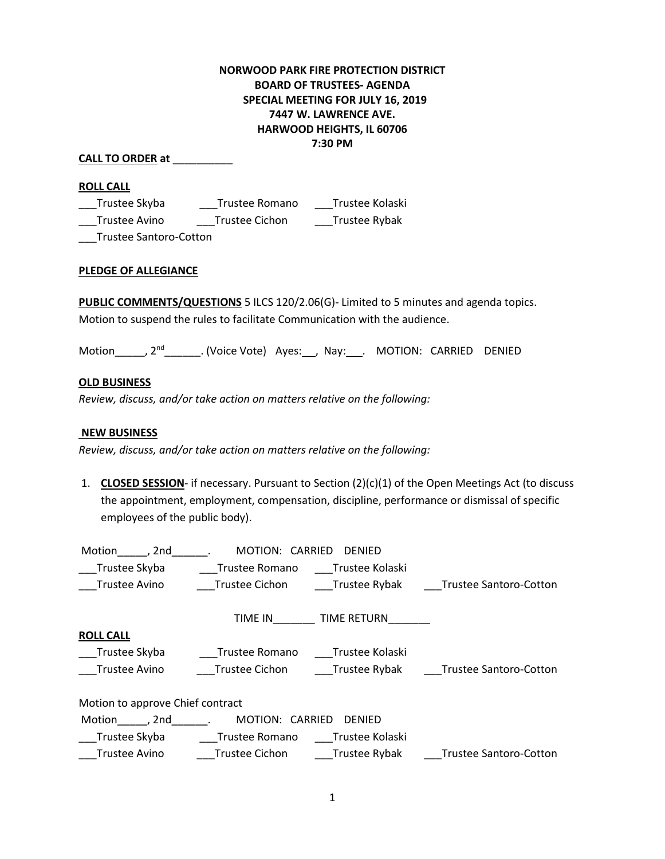# **NORWOOD PARK FIRE PROTECTION DISTRICT BOARD OF TRUSTEES- AGENDA SPECIAL MEETING FOR JULY 16, 2019 7447 W. LAWRENCE AVE. HARWOOD HEIGHTS, IL 60706 7:30 PM**

### **CALL TO ORDER at** \_\_\_\_\_\_\_\_\_\_

#### **ROLL CALL**

\_\_\_Trustee Skyba \_\_\_Trustee Romano \_\_\_Trustee Kolaski \_\_\_Trustee Avino \_\_\_Trustee Cichon \_\_\_Trustee Rybak

\_\_\_Trustee Santoro-Cotton

## **PLEDGE OF ALLEGIANCE**

**PUBLIC COMMENTS/QUESTIONS** 5 ILCS 120/2.06(G)- Limited to 5 minutes and agenda topics. Motion to suspend the rules to facilitate Communication with the audience.

Motion\_\_\_\_\_, 2<sup>nd</sup>\_\_\_\_\_\_\_. (Voice Vote) Ayes:\_\_\_, Nay:\_\_\_. MOTION: CARRIED DENIED

#### **OLD BUSINESS**

*Review, discuss, and/or take action on matters relative on the following:*

### **NEW BUSINESS**

*Review, discuss, and/or take action on matters relative on the following:*

1. **CLOSED SESSION**- if necessary. Pursuant to Section (2)(c)(1) of the Open Meetings Act (to discuss the appointment, employment, compensation, discipline, performance or dismissal of specific employees of the public body).

| Motion<br>. 2nd                                      | MOTION:               | CARRIED<br><b>DENIED</b> |                               |
|------------------------------------------------------|-----------------------|--------------------------|-------------------------------|
| Trustee Skyba                                        | Trustee Romano        | Trustee Kolaski          |                               |
| Trustee Avino                                        | Trustee Cichon        | Trustee Rybak            | <b>Trustee Santoro-Cotton</b> |
|                                                      | TIME IN               | TIME RETURN              |                               |
| <b>ROLL CALL</b>                                     |                       |                          |                               |
| Trustee Skyba                                        | Trustee Romano        | Trustee Kolaski          |                               |
| Trustee Avino                                        | <b>Trustee Cichon</b> | Trustee Rybak            | <b>Trustee Santoro-Cotton</b> |
| Motion to approve Chief contract                     |                       |                          |                               |
| Motion<br>MOTION:<br>CARRIED<br>2nd<br><b>DENIED</b> |                       |                          |                               |
| Trustee Skyba                                        | Trustee Romano        | Trustee Kolaski          |                               |
| <b>Trustee Avino</b>                                 | <b>Trustee Cichon</b> | Trustee Rybak            | <b>Trustee Santoro-Cotton</b> |